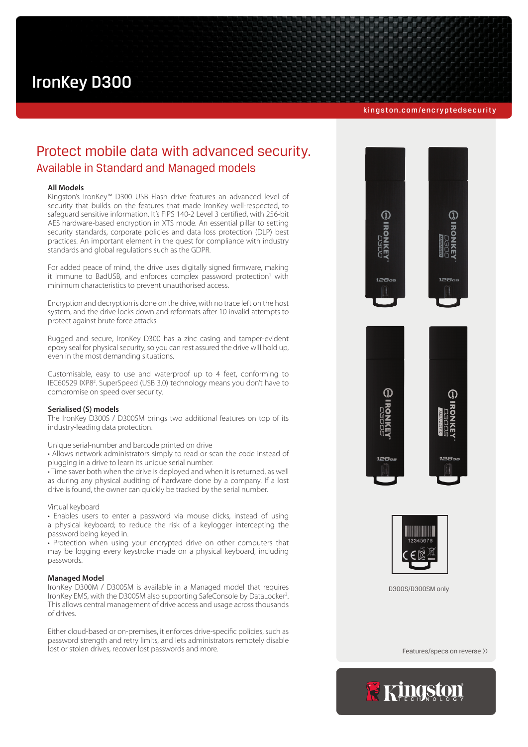# IronKey D300

#### [kingston.com/encryptedsecurity](http://kingston.com/encryptedsecurity)

# Protect mobile data with advanced security. Available in Standard and Managed models

## **All Models**

Kingston's IronKey™ D300 USB Flash drive features an advanced level of security that builds on the features that made IronKey well-respected, to safeguard sensitive information. It's FIPS 140-2 Level 3 certified, with 256-bit AES hardware-based encryption in XTS mode. An essential pillar to setting security standards, corporate policies and data loss protection (DLP) best practices. An important element in the quest for compliance with industry standards and global regulations such as the GDPR.

For added peace of mind, the drive uses digitally signed firmware, making it immune to BadUSB, and enforces complex password protection<sup>1</sup> with minimum characteristics to prevent unauthorised access.

Encryption and decryption is done on the drive, with no trace left on the host system, and the drive locks down and reformats after 10 invalid attempts to protect against brute force attacks.

Rugged and secure, IronKey D300 has a zinc casing and tamper-evident epoxy seal for physical security, so you can rest assured the drive will hold up, even in the most demanding situations.

Customisable, easy to use and waterproof up to 4 feet, conforming to IEC60529 IXP8<sup>2</sup>. SuperSpeed (USB 3.0) technology means you don't have to compromise on speed over security.

#### **Serialised (S) models**

The IronKey D300S / D300SM brings two additional features on top of its industry-leading data protection.

Unique serial-number and barcode printed on drive

• Allows network administrators simply to read or scan the code instead of plugging in a drive to learn its unique serial number.

• Time saver both when the drive is deployed and when it is returned, as well as during any physical auditing of hardware done by a company. If a lost drive is found, the owner can quickly be tracked by the serial number.

#### Virtual keyboard

• Enables users to enter a password via mouse clicks, instead of using a physical keyboard; to reduce the risk of a keylogger intercepting the password being keyed in.

• Protection when using your encrypted drive on other computers that may be logging every keystroke made on a physical keyboard, including passwords.

# **Managed Model**

IronKey D300M / D300SM is available in a Managed model that requires IronKey EMS, with the D300SM also supporting SafeConsole by DataLocker<sup>3</sup>. This allows central management of drive access and usage across thousands of drives.

Either cloud-based or on-premises, it enforces drive-specific policies, such as password strength and retry limits, and lets administrators remotely disable lost or stolen drives, recover lost passwords and more.





D300S/D300SM only

Features/specs on reverse >>